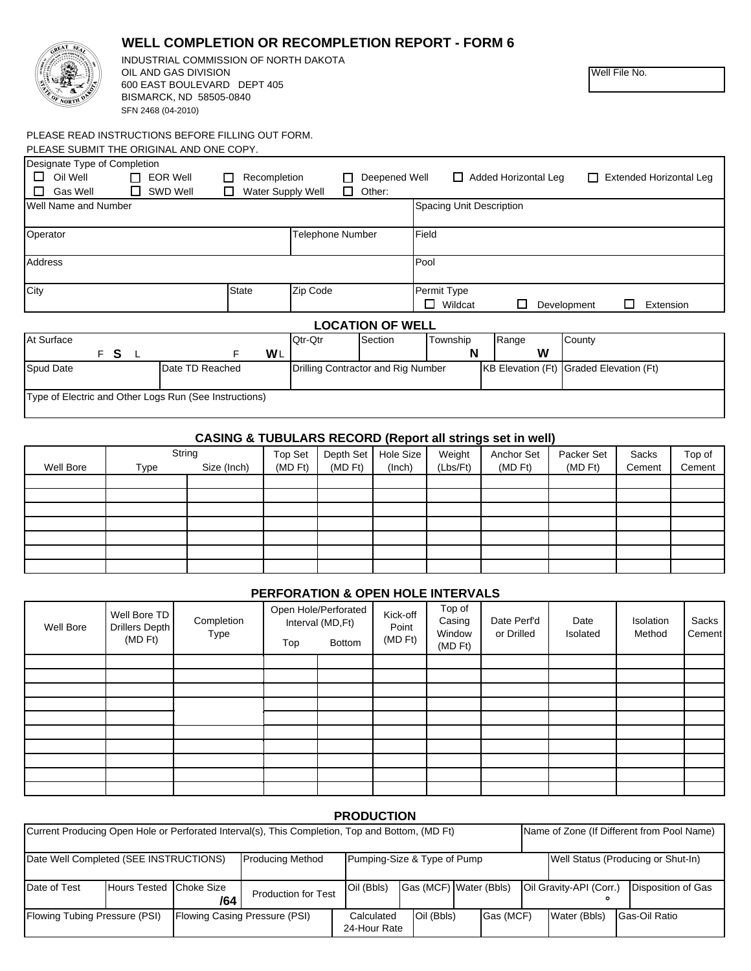|                                                                | OIL AND GAS DIVISION<br>600 EAST BOULEVARD DEPT 405<br>BISMARCK, ND 58505-0840<br>SFN 2468 (04-2010) |                                        |                                    |                         |                               |                             | Well File No.                       |  |
|----------------------------------------------------------------|------------------------------------------------------------------------------------------------------|----------------------------------------|------------------------------------|-------------------------|-------------------------------|-----------------------------|-------------------------------------|--|
|                                                                | PLEASE READ INSTRUCTIONS BEFORE FILLING OUT FORM.<br>PLEASE SUBMIT THE ORIGINAL AND ONE COPY.        |                                        |                                    |                         |                               |                             |                                     |  |
| Designate Type of Completion<br>□<br>Oil Well<br>П<br>Gas Well | $\Box$ EOR Well<br>п<br>SWD Well                                                                     | Recompletion<br>П<br>Water Supply Well | П                                  | Deepened Well<br>Other: |                               | $\Box$ Added Horizontal Leg | <b>Extended Horizontal Leg</b><br>П |  |
| Well Name and Number                                           |                                                                                                      |                                        | Spacing Unit Description           |                         |                               |                             |                                     |  |
| Operator                                                       |                                                                                                      |                                        |                                    |                         | Telephone Number<br>Field     |                             |                                     |  |
| Address                                                        |                                                                                                      |                                        |                                    |                         | Pool                          |                             |                                     |  |
| City                                                           |                                                                                                      | <b>State</b>                           | Zip Code                           |                         | Permit Type<br>$\Box$ Wildcat | П                           | П.<br>Extension<br>Development      |  |
| <b>LOCATION OF WELL</b>                                        |                                                                                                      |                                        |                                    |                         |                               |                             |                                     |  |
| At Surface                                                     | FS L                                                                                                 | WL<br>F                                | Qtr-Qtr                            | Section                 | Township<br>N                 | Range<br>W                  | County                              |  |
| Spud Date                                                      | Date TD Reached                                                                                      |                                        | Drilling Contractor and Rig Number |                         |                               | <b>KB Elevation (Ft)</b>    | Graded Elevation (Ft)               |  |
|                                                                | Type of Electric and Other Logs Run (See Instructions)                                               |                                        |                                    |                         |                               |                             |                                     |  |

**WELL COMPLETION OR RECOMPLETION REPORT - FORM 6**

INDUSTRIAL COMMISSION OF NORTH DAKOTA

**CASING & TUBULARS RECORD (Report all strings set in well)**

| oftenio a reporting hopeing properties coming out in wom |        |             |              |              |           |          |              |            |        |        |
|----------------------------------------------------------|--------|-------------|--------------|--------------|-----------|----------|--------------|------------|--------|--------|
|                                                          | String |             | Top Set      | Depth Set    | Hole Size | Weight   | Anchor Set   | Packer Set | Sacks  | Top of |
| Well Bore                                                | Type   | Size (Inch) | $(MD$ Ft $)$ | $(MD$ Ft $)$ | (Inch)    | (Lbs/Ft) | $(MD$ Ft $)$ | $(MD$ Ft)  | Cement | Cement |
|                                                          |        |             |              |              |           |          |              |            |        |        |
|                                                          |        |             |              |              |           |          |              |            |        |        |
|                                                          |        |             |              |              |           |          |              |            |        |        |
|                                                          |        |             |              |              |           |          |              |            |        |        |
|                                                          |        |             |              |              |           |          |              |            |        |        |
|                                                          |        |             |              |              |           |          |              |            |        |        |
|                                                          |        |             |              |              |           |          |              |            |        |        |

### **PERFORATION & OPEN HOLE INTERVALS**

| Well Bore | Well Bore TD<br>Drillers Depth<br>(MD Ft) | Completion<br>Type | Top | Open Hole/Perforated<br>Interval (MD, Ft)<br><b>Bottom</b> | Kick-off<br>Point<br>(MD Ft) | Top of<br>Casing<br>Window<br>(MD Ft) | Date Perf'd<br>or Drilled | Date<br>Isolated | Isolation<br>Method | Sacks<br>Cement |
|-----------|-------------------------------------------|--------------------|-----|------------------------------------------------------------|------------------------------|---------------------------------------|---------------------------|------------------|---------------------|-----------------|
|           |                                           |                    |     |                                                            |                              |                                       |                           |                  |                     |                 |
|           |                                           |                    |     |                                                            |                              |                                       |                           |                  |                     |                 |
|           |                                           |                    |     |                                                            |                              |                                       |                           |                  |                     |                 |
|           |                                           |                    |     |                                                            |                              |                                       |                           |                  |                     |                 |
|           |                                           |                    |     |                                                            |                              |                                       |                           |                  |                     |                 |
|           |                                           |                    |     |                                                            |                              |                                       |                           |                  |                     |                 |
|           |                                           |                    |     |                                                            |                              |                                       |                           |                  |                     |                 |
|           |                                           |                    |     |                                                            |                              |                                       |                           |                  |                     |                 |
|           |                                           |                    |     |                                                            |                              |                                       |                           |                  |                     |                 |
|           |                                           |                    |     |                                                            |                              |                                       |                           |                  |                     |                 |

#### Flowing Tubing Pressure (PSI) | Flowing Casing Pressure (PSI) | Calculated | Oil (Bbls) | Gas (MCF) | Water (Bbls) | Gas-Oil Ratio Disposition of Gas Calculated 24-Hour Rate Choke Size Production for Test <sup>Oil</sup> (Bbls) Gas (MCF) Water (Bbls) Oil Gravity-API (Corr.) **° /64** Date Well Completed (SEE INSTRUCTIONS) Producing Method Pumping-Size & Type of Pump Well Status (Producing or Shut-In) **PRODUCTION** Current Producing Open Hole or Perforated Interval(s), This Completion, Top and Bottom, (MD Ft) Name of Zone (If Different from Pool Name) Date of Test Hours Tested Choke Size<br>
Production for Test Oil (Bbls)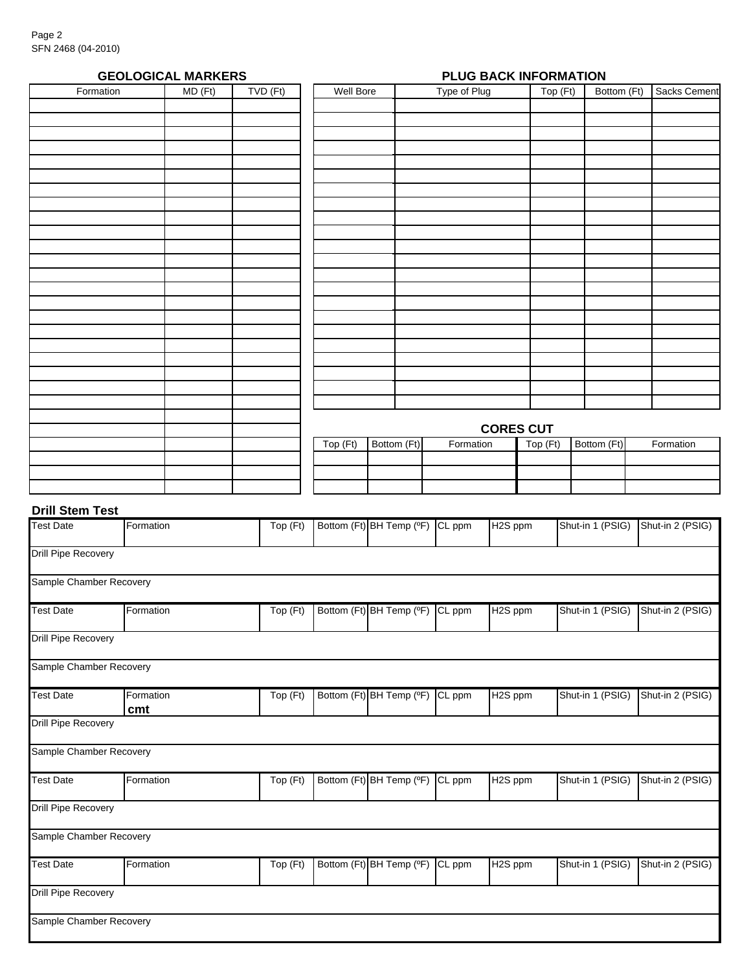| <b>GEOLOGICAL MARKERS</b> | PLUG BACK INFORMATION |          |           |             |              |                                              |             |  |                     |
|---------------------------|-----------------------|----------|-----------|-------------|--------------|----------------------------------------------|-------------|--|---------------------|
| Formation                 | MD(Ft)                | TVD (Ft) | Well Bore |             | Type of Plug | $\overline{\operatorname{Top}(\mathsf{Ft})}$ | Bottom (Ft) |  | <b>Sacks Cement</b> |
|                           |                       |          |           |             |              |                                              |             |  |                     |
|                           |                       |          |           |             |              |                                              |             |  |                     |
|                           |                       |          |           |             |              |                                              |             |  |                     |
|                           |                       |          |           |             |              |                                              |             |  |                     |
|                           |                       |          |           |             |              |                                              |             |  |                     |
|                           |                       |          |           |             |              |                                              |             |  |                     |
|                           |                       |          |           |             |              |                                              |             |  |                     |
|                           |                       |          |           |             |              |                                              |             |  |                     |
|                           |                       |          |           |             |              |                                              |             |  |                     |
|                           |                       |          |           |             |              |                                              |             |  |                     |
|                           |                       |          |           |             |              |                                              |             |  |                     |
|                           |                       |          |           |             |              |                                              |             |  |                     |
|                           |                       |          |           |             |              |                                              |             |  |                     |
|                           |                       |          |           |             |              |                                              |             |  |                     |
|                           |                       |          |           |             |              |                                              |             |  |                     |
|                           |                       |          |           |             |              |                                              |             |  |                     |
|                           |                       |          |           |             |              |                                              |             |  |                     |
|                           |                       |          |           |             |              |                                              |             |  |                     |
|                           |                       |          |           |             |              |                                              |             |  |                     |
|                           |                       |          |           |             |              |                                              |             |  |                     |
|                           |                       |          |           |             |              |                                              |             |  |                     |
|                           |                       |          |           |             |              |                                              |             |  |                     |
|                           |                       |          |           |             |              | <b>CORES CUT</b>                             |             |  |                     |
|                           |                       |          | Top (Ft)  | Bottom (Ft) | Formation    | $\overline{\operatorname{Top}(\mathsf{Ft})}$ | Bottom (Ft) |  | Formation           |
|                           |                       |          |           |             |              |                                              |             |  |                     |
|                           |                       |          |           |             |              |                                              |             |  |                     |
|                           |                       |          |           |             |              |                                              |             |  |                     |

## **Drill Stem Test**

| <b>Test Date</b>           | Formation        | Top (Ft)     | Bottom (Ft) BH Temp (°F) | <b>CL</b> ppm       | H <sub>2</sub> S ppm | Shut-in 1 (PSIG) | Shut-in 2 (PSIG) |
|----------------------------|------------------|--------------|--------------------------|---------------------|----------------------|------------------|------------------|
| <b>Drill Pipe Recovery</b> |                  |              |                          |                     |                      |                  |                  |
| Sample Chamber Recovery    |                  |              |                          |                     |                      |                  |                  |
| <b>Test Date</b>           | Formation        | Top $(Ft)$   | Bottom (Ft) BH Temp (°F) | <b>CL</b> ppm       | H <sub>2</sub> S ppm | Shut-in 1 (PSIG) | Shut-in 2 (PSIG) |
| <b>Drill Pipe Recovery</b> |                  |              |                          |                     |                      |                  |                  |
| Sample Chamber Recovery    |                  |              |                          |                     |                      |                  |                  |
| <b>Test Date</b>           | Formation<br>cmt | Top (Ft)     | Bottom (Ft) BH Temp (°F) | CL ppm              | H <sub>2</sub> S ppm | Shut-in 1 (PSIG) | Shut-in 2 (PSIG) |
| <b>Drill Pipe Recovery</b> |                  |              |                          |                     |                      |                  |                  |
| Sample Chamber Recovery    |                  |              |                          |                     |                      |                  |                  |
| <b>Test Date</b>           | Formation        | Top (Ft)     | Bottom (Ft) BH Temp (°F) | $\overline{CL}$ ppm | H <sub>2</sub> S ppm | Shut-in 1 (PSIG) | Shut-in 2 (PSIG) |
| <b>Drill Pipe Recovery</b> |                  |              |                          |                     |                      |                  |                  |
| Sample Chamber Recovery    |                  |              |                          |                     |                      |                  |                  |
| <b>Test Date</b>           | Formation        | $Top$ $(Ft)$ | Bottom (Ft) BH Temp (°F) | CL ppm              | H2S ppm              | Shut-in 1 (PSIG) | Shut-in 2 (PSIG) |
| <b>Drill Pipe Recovery</b> |                  |              |                          |                     |                      |                  |                  |
| Sample Chamber Recovery    |                  |              |                          |                     |                      |                  |                  |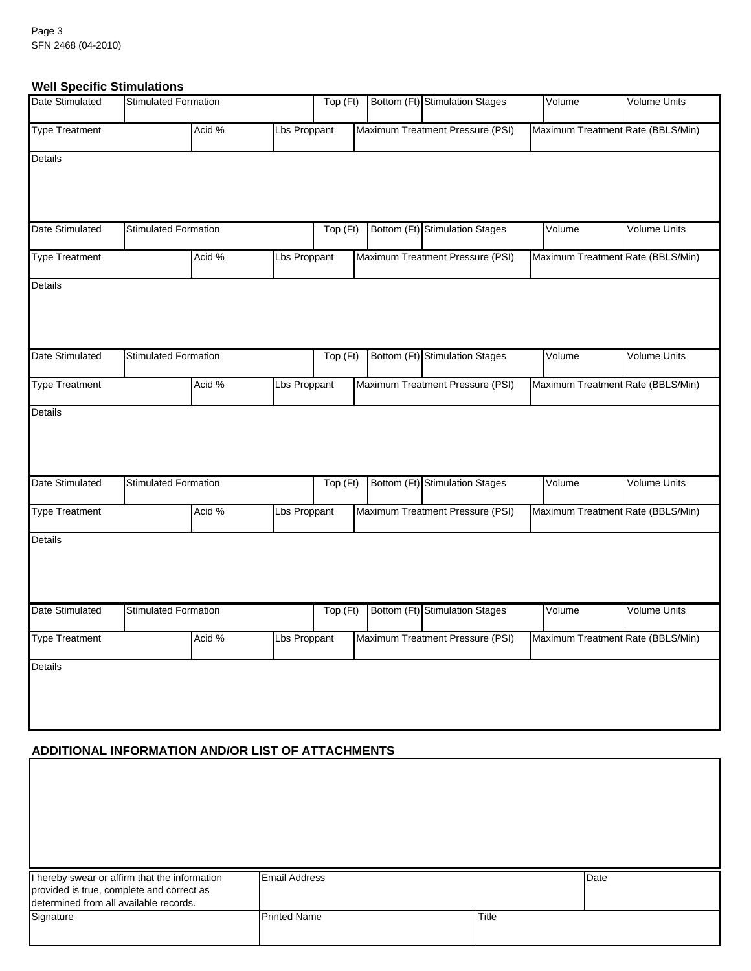## **Well Specific Stimulations**

| Date Stimulated        | <b>Stimulated Formation</b> |        |              | Top (Ft) | Bottom (Ft) Stimulation Stages   | Volume | <b>Volume Units</b>               |
|------------------------|-----------------------------|--------|--------------|----------|----------------------------------|--------|-----------------------------------|
| <b>Type Treatment</b>  |                             | Acid % | Lbs Proppant |          | Maximum Treatment Pressure (PSI) |        | Maximum Treatment Rate (BBLS/Min) |
| Details                |                             |        |              |          |                                  |        |                                   |
| Date Stimulated        | <b>Stimulated Formation</b> |        |              | Top (Ft) | Bottom (Ft) Stimulation Stages   | Volume | <b>Volume Units</b>               |
| <b>Type Treatment</b>  |                             | Acid % | Lbs Proppant |          | Maximum Treatment Pressure (PSI) |        | Maximum Treatment Rate (BBLS/Min) |
| Details                |                             |        |              |          |                                  |        |                                   |
| Date Stimulated        | <b>Stimulated Formation</b> |        |              | Top (Ft) | Bottom (Ft) Stimulation Stages   | Volume | Volume Units                      |
| <b>Type Treatment</b>  |                             | Acid % | Lbs Proppant |          | Maximum Treatment Pressure (PSI) |        | Maximum Treatment Rate (BBLS/Min) |
| Details                |                             |        |              |          |                                  |        |                                   |
| Date Stimulated        | <b>Stimulated Formation</b> |        |              | Top (Ft) | Bottom (Ft) Stimulation Stages   | Volume | Volume Units                      |
| <b>Type Treatment</b>  |                             | Acid % | Lbs Proppant |          | Maximum Treatment Pressure (PSI) |        | Maximum Treatment Rate (BBLS/Min) |
| <b>Details</b>         |                             |        |              |          |                                  |        |                                   |
| <b>Date Stimulated</b> | <b>Stimulated Formation</b> |        |              | Top (Ft) | Bottom (Ft) Stimulation Stages   | Volume | <b>Volume Units</b>               |
| <b>Type Treatment</b>  |                             | Acid % | Lbs Proppant |          | Maximum Treatment Pressure (PSI) |        | Maximum Treatment Rate (BBLS/Min) |
| Details                |                             |        |              |          |                                  |        |                                   |

# **ADDITIONAL INFORMATION AND/OR LIST OF ATTACHMENTS**

 $\mathsf I$ 

| I hereby swear or affirm that the information<br>provided is true, complete and correct as<br>determined from all available records. | <b>Email Address</b> |       | Date |
|--------------------------------------------------------------------------------------------------------------------------------------|----------------------|-------|------|
| Signature                                                                                                                            | <b>Printed Name</b>  | Title |      |